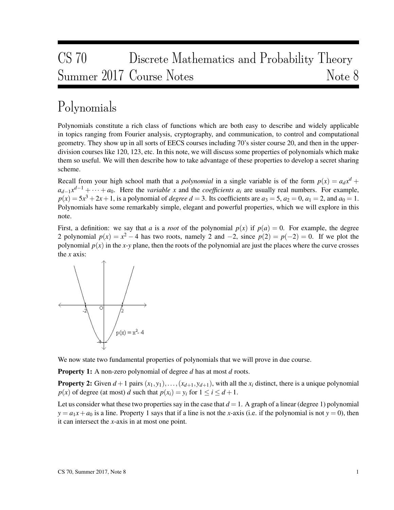# CS 70 Discrete Mathematics and Probability Theory Summer 2017 Course Notes Note 8

# Polynomials

Polynomials constitute a rich class of functions which are both easy to describe and widely applicable in topics ranging from Fourier analysis, cryptography, and communication, to control and computational geometry. They show up in all sorts of EECS courses including 70's sister course 20, and then in the upperdivision courses like 120, 123, etc. In this note, we will discuss some properties of polynomials which make them so useful. We will then describe how to take advantage of these properties to develop a secret sharing scheme.

Recall from your high school math that a *polynomial* in a single variable is of the form  $p(x) = a_d x^d +$  $a_{d-1}x^{d-1} + \cdots + a_0$ . Here the *variable x* and the *coefficients a<sub>i</sub>* are usually real numbers. For example,  $p(x) = 5x^3 + 2x + 1$ , is a polynomial of *degree d* = 3. Its coefficients are  $a_3 = 5$ ,  $a_2 = 0$ ,  $a_1 = 2$ , and  $a_0 = 1$ . Polynomials have some remarkably simple, elegant and powerful properties, which we will explore in this note.

First, a definition: we say that *a* is a *root* of the polynomial  $p(x)$  if  $p(a) = 0$ . For example, the degree 2 polynomial  $p(x) = x^2 - 4$  has two roots, namely 2 and  $-2$ , since  $p(2) = p(-2) = 0$ . If we plot the polynomial  $p(x)$  in the *x*-*y* plane, then the roots of the polynomial are just the places where the curve crosses the *x* axis:



We now state two fundamental properties of polynomials that we will prove in due course.

Property 1: A non-zero polynomial of degree *d* has at most *d* roots.

**Property 2:** Given  $d+1$  pairs  $(x_1, y_1), \ldots, (x_{d+1}, y_{d+1})$ , with all the  $x_i$  distinct, there is a unique polynomial *p*(*x*) of degree (at most) *d* such that  $p(x_i) = y_i$  for  $1 \le i \le d+1$ .

Let us consider what these two properties say in the case that  $d = 1$ . A graph of a linear (degree 1) polynomial  $y = a_1x + a_0$  is a line. Property 1 says that if a line is not the *x*-axis (i.e. if the polynomial is not  $y = 0$ ), then it can intersect the *x*-axis in at most one point.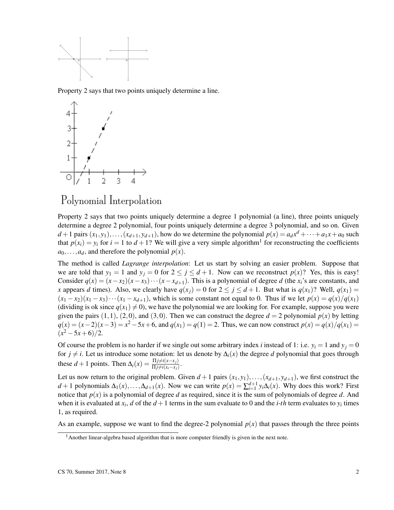

Property 2 says that two points uniquely determine a line.



### Polynomial Interpolation

Property 2 says that two points uniquely determine a degree 1 polynomial (a line), three points uniquely determine a degree 2 polynomial, four points uniquely determine a degree 3 polynomial, and so on. Given  $d+1$  pairs  $(x_1, y_1), \ldots, (x_{d+1}, y_{d+1})$ , how do we determine the polynomial  $p(x) = a_d x^d + \cdots + a_1 x + a_0$  such that  $p(x_i) = y_i$  for  $i = 1$  to  $d + 1$ ? We will give a very simple algorithm<sup>1</sup> for reconstructing the coefficients  $a_0, \ldots, a_d$ , and therefore the polynomial  $p(x)$ .

The method is called *Lagrange interpolation*: Let us start by solving an easier problem. Suppose that we are told that  $y_1 = 1$  and  $y_j = 0$  for  $2 \le j \le d+1$ . Now can we reconstruct  $p(x)$ ? Yes, this is easy! Consider  $q(x) = (x - x_2)(x - x_3) \cdots (x - x_{d+1})$ . This is a polynomial of degree *d* (the  $x_i$ 's are constants, and *x* appears *d* times). Also, we clearly have  $q(x_i) = 0$  for  $2 \leq j \leq d+1$ . But what is  $q(x_1)$ ? Well,  $q(x_1) =$  $(x_1 - x_2)(x_1 - x_3) \cdots (x_1 - x_{d+1})$ , which is some constant not equal to 0. Thus if we let  $p(x) = q(x)/q(x_1)$ (dividing is ok since  $q(x_1) \neq 0$ ), we have the polynomial we are looking for. For example, suppose you were given the pairs  $(1,1)$ ,  $(2,0)$ , and  $(3,0)$ . Then we can construct the degree  $d = 2$  polynomial  $p(x)$  by letting  $q(x) = (x-2)(x-3) = x^2 - 5x + 6$ , and  $q(x_1) = q(1) = 2$ . Thus, we can now construct  $p(x) = q(x)/q(x_1) = 0$  $(x^2-5x+6)/2.$ 

Of course the problem is no harder if we single out some arbitrary index *i* instead of 1: i.e.  $y_i = 1$  and  $y_j = 0$ for  $j \neq i$ . Let us introduce some notation: let us denote by  $\Delta_i(x)$  the degree *d* polynomial that goes through these  $d+1$  points. Then  $\Delta_i(x) = \frac{\Pi j \neq i(x-x_j)}{\Pi j \neq i(x_i-x_j)}$ .

Let us now return to the original problem. Given  $d+1$  pairs  $(x_1, y_1), \ldots, (x_{d+1}, y_{d+1})$ , we first construct the *d* + 1 polynomials  $\Delta_1(x), \ldots, \Delta_{d+1}(x)$ . Now we can write  $p(x) = \sum_{i=1}^{d+1} y_i \Delta_i(x)$ . Why does this work? First notice that *p*(*x*) is a polynomial of degree *d* as required, since it is the sum of polynomials of degree *d*. And when it is evaluated at  $x_i$ , *d* of the  $d+1$  terms in the sum evaluate to 0 and the *i-th* term evaluates to  $y_i$  times 1, as required.

As an example, suppose we want to find the degree-2 polynomial  $p(x)$  that passes through the three points

 $<sup>1</sup>$ Another linear-algebra based algorithm that is more computer friendly is given in the next note.</sup>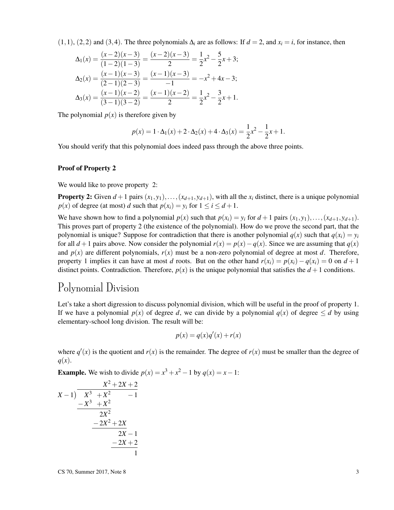$(1,1)$ ,  $(2,2)$  and  $(3,4)$ . The three polynomials  $\Delta_i$  are as follows: If  $d = 2$ , and  $x_i = i$ , for instance, then

$$
\Delta_1(x) = \frac{(x-2)(x-3)}{(1-2)(1-3)} = \frac{(x-2)(x-3)}{2} = \frac{1}{2}x^2 - \frac{5}{2}x + 3;
$$
  
\n
$$
\Delta_2(x) = \frac{(x-1)(x-3)}{(2-1)(2-3)} = \frac{(x-1)(x-3)}{-1} = -x^2 + 4x - 3;
$$
  
\n
$$
\Delta_3(x) = \frac{(x-1)(x-2)}{(3-1)(3-2)} = \frac{(x-1)(x-2)}{2} = \frac{1}{2}x^2 - \frac{3}{2}x + 1.
$$

The polynomial  $p(x)$  is therefore given by

$$
p(x) = 1 \cdot \Delta_1(x) + 2 \cdot \Delta_2(x) + 4 \cdot \Delta_3(x) = \frac{1}{2}x^2 - \frac{1}{2}x + 1.
$$

You should verify that this polynomial does indeed pass through the above three points.

#### Proof of Property 2

We would like to prove property 2:

**Property 2:** Given  $d+1$  pairs  $(x_1, y_1), \ldots, (x_{d+1}, y_{d+1})$ , with all the  $x_i$  distinct, there is a unique polynomial *p*(*x*) of degree (at most) *d* such that  $p(x_i) = y_i$  for  $1 \le i \le d+1$ .

We have shown how to find a polynomial  $p(x)$  such that  $p(x_i) = y_i$  for  $d+1$  pairs  $(x_1, y_1), \ldots, (x_{d+1}, y_{d+1})$ . This proves part of property 2 (the existence of the polynomial). How do we prove the second part, that the polynomial is unique? Suppose for contradiction that there is another polynomial  $q(x)$  such that  $q(x_i) = y_i$ for all *d* + 1 pairs above. Now consider the polynomial  $r(x) = p(x) - q(x)$ . Since we are assuming that  $q(x)$ and  $p(x)$  are different polynomials,  $r(x)$  must be a non-zero polynomial of degree at most *d*. Therefore, property 1 implies it can have at most *d* roots. But on the other hand  $r(x_i) = p(x_i) - q(x_i) = 0$  on  $d+1$ distinct points. Contradiction. Therefore,  $p(x)$  is the unique polynomial that satisfies the  $d+1$  conditions.

### Polynomial Division

Let's take a short digression to discuss polynomial division, which will be useful in the proof of property 1. If we have a polynomial  $p(x)$  of degree *d*, we can divide by a polynomial  $q(x)$  of degree  $\leq d$  by using elementary-school long division. The result will be:

$$
p(x) = q(x)q'(x) + r(x)
$$

where  $q'(x)$  is the quotient and  $r(x)$  is the remainder. The degree of  $r(x)$  must be smaller than the degree of *q*(*x*).

**Example.** We wish to divide  $p(x) = x^3 + x^2 - 1$  by  $q(x) = x - 1$ :

$$
\begin{array}{r} \nX - 1) \overline{\begin{array}{r} X^3 + X^2 - 1 \\ \hline X^3 + X^2 - 1 \\ \hline 2X^2 \\ \hline 2X^2 \\ \hline 2X - 1 \\ \hline 2X - 1 \\ \hline 2X - 1 \\ \hline 1 \\ \hline 1\n\end{array}\n\end{array}
$$

 $\text{CS } 70$ , Summer 2017, Note 8 3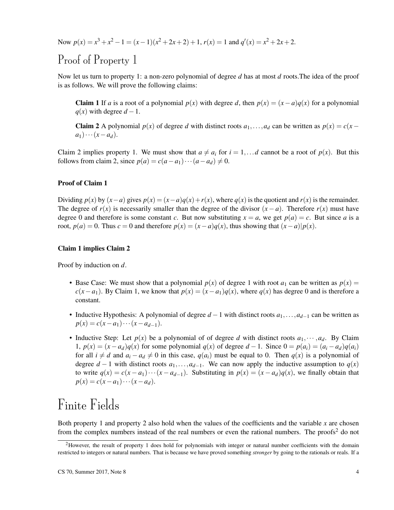Now  $p(x) = x^3 + x^2 - 1 = (x - 1)(x^2 + 2x + 2) + 1$ ,  $r(x) = 1$  and  $q'(x) = x^2 + 2x + 2$ .

### Proof of Property 1

Now let us turn to property 1: a non-zero polynomial of degree *d* has at most *d* roots.The idea of the proof is as follows. We will prove the following claims:

Claim 1 If *a* is a root of a polynomial  $p(x)$  with degree *d*, then  $p(x) = (x - a)q(x)$  for a polynomial  $q(x)$  with degree  $d-1$ .

Claim 2 A polynomial  $p(x)$  of degree *d* with distinct roots  $a_1, \ldots, a_d$  can be written as  $p(x) = c(x - a)$  $a_1) \cdots (x - a_d).$ 

Claim 2 implies property 1. We must show that  $a \neq a_i$  for  $i = 1, \ldots d$  cannot be a root of  $p(x)$ . But this follows from claim 2, since  $p(a) = c(a - a_1) \cdots (a - a_d) \neq 0$ .

#### Proof of Claim 1

Dividing  $p(x)$  by  $(x-a)$  gives  $p(x) = (x-a)q(x) + r(x)$ , where  $q(x)$  is the quotient and  $r(x)$  is the remainder. The degree of  $r(x)$  is necessarily smaller than the degree of the divisor  $(x - a)$ . Therefore  $r(x)$  must have degree 0 and therefore is some constant *c*. But now substituting  $x = a$ , we get  $p(a) = c$ . But since *a* is a root,  $p(a) = 0$ . Thus  $c = 0$  and therefore  $p(x) = (x - a)q(x)$ , thus showing that  $(x - a)|p(x)$ .

#### Claim 1 implies Claim 2

Proof by induction on *d*.

- Base Case: We must show that a polynomial  $p(x)$  of degree 1 with root  $a_1$  can be written as  $p(x) =$  $c(x-a_1)$ . By Claim 1, we know that  $p(x) = (x-a_1)q(x)$ , where  $q(x)$  has degree 0 and is therefore a constant.
- Inductive Hypothesis: A polynomial of degree *d* −1 with distinct roots *a*1,...,*ad*−<sup>1</sup> can be written as  $p(x) = c(x - a_1) \cdots (x - a_{d-1}).$
- Inductive Step: Let  $p(x)$  be a polynomial of of degree *d* with distinct roots  $a_1, \dots, a_d$ . By Claim 1,  $p(x) = (x - a_d)q(x)$  for some polynomial  $q(x)$  of degree  $d - 1$ . Since  $0 = p(a_i) = (a_i - a_d)q(a_i)$ for all  $i \neq d$  and  $a_i - a_d \neq 0$  in this case,  $q(a_i)$  must be equal to 0. Then  $q(x)$  is a polynomial of degree  $d-1$  with distinct roots  $a_1, \ldots, a_{d-1}$ . We can now apply the inductive assumption to  $q(x)$ to write  $q(x) = c(x - a_1) \cdots (x - a_{d-1})$ . Substituting in  $p(x) = (x - a_d)q(x)$ , we finally obtain that  $p(x) = c(x - a_1) \cdots (x - a_d).$

## Finite Fields

Both property 1 and property 2 also hold when the values of the coefficients and the variable *x* are chosen from the complex numbers instead of the real numbers or even the rational numbers. The proofs<sup>2</sup> do not

<sup>&</sup>lt;sup>2</sup>However, the result of property 1 does hold for polynomials with integer or natural number coefficients with the domain restricted to integers or natural numbers. That is because we have proved something *stronger* by going to the rationals or reals. If a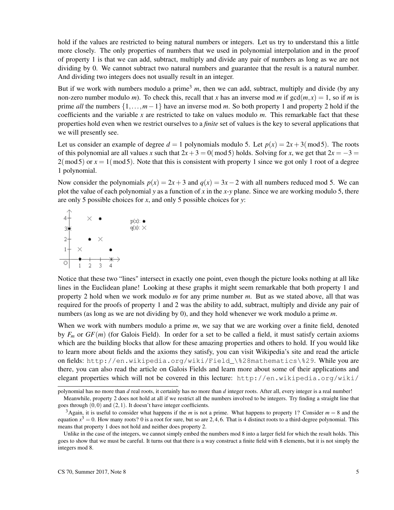hold if the values are restricted to being natural numbers or integers. Let us try to understand this a little more closely. The only properties of numbers that we used in polynomial interpolation and in the proof of property 1 is that we can add, subtract, multiply and divide any pair of numbers as long as we are not dividing by 0. We cannot subtract two natural numbers and guarantee that the result is a natural number. And dividing two integers does not usually result in an integer.

But if we work with numbers modulo a prime<sup>3</sup>  $m$ , then we can add, subtract, multiply and divide (by any non-zero number modulo *m*). To check this, recall that *x* has an inverse mod *m* if  $gcd(m, x) = 1$ , so if *m* is prime *all* the numbers {1,...,*m*−1} have an inverse mod *m*. So both property 1 and property 2 hold if the coefficients and the variable *x* are restricted to take on values modulo *m*. This remarkable fact that these properties hold even when we restrict ourselves to a *finite* set of values is the key to several applications that we will presently see.

Let us consider an example of degree  $d = 1$  polynomials modulo 5. Let  $p(x) = 2x + 3 \pmod{5}$ . The roots of this polynomial are all values *x* such that  $2x + 3 = 0 \pmod{5}$  holds. Solving for *x*, we get that  $2x = -3$  $2(mod 5)$  or  $x = 1(mod 5)$ . Note that this is consistent with property 1 since we got only 1 root of a degree 1 polynomial.

Now consider the polynomials  $p(x) = 2x + 3$  and  $q(x) = 3x - 2$  with all numbers reduced mod 5. We can plot the value of each polynomial *y* as a function of *x* in the *x*-*y* plane. Since we are working modulo 5, there are only 5 possible choices for *x*, and only 5 possible choices for *y*:



Notice that these two "lines" intersect in exactly one point, even though the picture looks nothing at all like lines in the Euclidean plane! Looking at these graphs it might seem remarkable that both property 1 and property 2 hold when we work modulo *m* for any prime number *m*. But as we stated above, all that was required for the proofs of property 1 and 2 was the ability to add, subtract, multiply and divide any pair of numbers (as long as we are not dividing by 0), and they hold whenever we work modulo a prime *m*.

When we work with numbers modulo a prime *m*, we say that we are working over a finite field, denoted by  $F_m$  or  $GF(m)$  (for Galois Field). In order for a set to be called a field, it must satisfy certain axioms which are the building blocks that allow for these amazing properties and others to hold. If you would like to learn more about fields and the axioms they satisfy, you can visit Wikipedia's site and read the article on fields: http://en.wikipedia.org/wiki/Field\_\%28mathematics\%29. While you are there, you can also read the article on Galois Fields and learn more about some of their applications and elegant properties which will not be covered in this lecture: http://en.wikipedia.org/wiki/

polynomial has no more than *d* real roots, it certainly has no more than *d* integer roots. After all, every integer is a real number!

Meanwhile, property 2 does not hold at all if we restrict all the numbers involved to be integers. Try finding a straight line that goes through  $(0,0)$  and  $(2,1)$ . It doesn't have integer coefficients.

<sup>&</sup>lt;sup>3</sup>Again, it is useful to consider what happens if the *m* is not a prime. What happens to property 1? Consider  $m = 8$  and the equation  $x^3 = 0$ . How many roots? 0 is a root for sure, but so are 2, 4, 6. That is 4 distinct roots to a third-degree polynomial. This means that property 1 does not hold and neither does property 2.

Unlike in the case of the integers, we cannot simply embed the numbers mod 8 into a larger field for which the result holds. This goes to show that we must be careful. It turns out that there is a way construct a finite field with 8 elements, but it is not simply the integers mod 8.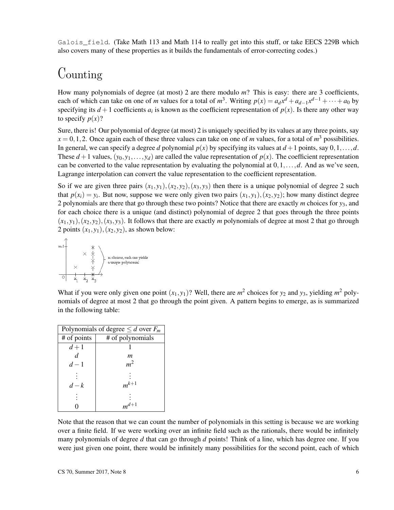Galois\_field. (Take Math 113 and Math 114 to really get into this stuff, or take EECS 229B which also covers many of these properties as it builds the fundamentals of error-correcting codes.)

### Counting

How many polynomials of degree (at most) 2 are there modulo *m*? This is easy: there are 3 coefficients, each of which can take on one of *m* values for a total of  $m^3$ . Writing  $p(x) = a_d x^d + a_{d-1} x^{d-1} + \cdots + a_0$  by specifying its  $d+1$  coefficients  $a_i$  is known as the coefficient representation of  $p(x)$ . Is there any other way to specify  $p(x)$ ?

Sure, there is! Our polynomial of degree (at most) 2 is uniquely specified by its values at any three points, say  $x = 0, 1, 2$ . Once again each of these three values can take on one of *m* values, for a total of  $m<sup>3</sup>$  possibilities. In general, we can specify a degree *d* polynomial  $p(x)$  by specifying its values at  $d+1$  points, say  $0,1,\ldots,d$ . These  $d+1$  values,  $(y_0, y_1, \ldots, y_d)$  are called the value representation of  $p(x)$ . The coefficient representation can be converted to the value representation by evaluating the polynomial at  $0,1,\ldots,d$ . And as we've seen, Lagrange interpolation can convert the value representation to the coefficient representation.

So if we are given three pairs  $(x_1, y_1), (x_2, y_2), (x_3, y_3)$  then there is a unique polynomial of degree 2 such that  $p(x_i) = y_i$ . But now, suppose we were only given two pairs  $(x_1, y_1)$ ,  $(x_2, y_2)$ ; how many distinct degree 2 polynomials are there that go through these two points? Notice that there are exactly *m* choices for *y*3, and for each choice there is a unique (and distinct) polynomial of degree 2 that goes through the three points  $(x_1, y_1), (x_2, y_2), (x_3, y_3)$ . It follows that there are exactly *m* polynomials of degree at most 2 that go through 2 points  $(x_1, y_1), (x_2, y_2)$ , as shown below:



What if you were only given one point  $(x_1, y_1)$ ? Well, there are  $m^2$  choices for  $y_2$  and  $y_3$ , yielding  $m^2$  polynomials of degree at most 2 that go through the point given. A pattern begins to emerge, as is summarized in the following table:

| Polynomials of degree $\leq d$ over $F_m$ |                  |
|-------------------------------------------|------------------|
| # of points                               | # of polynomials |
| $d+1$                                     |                  |
| d.                                        | m                |
| $d-1$                                     | $m^2$            |
|                                           |                  |
| $d-k$                                     | $m^{k+1}$        |
|                                           |                  |
|                                           | $m^{d+1}$        |

Note that the reason that we can count the number of polynomials in this setting is because we are working over a finite field. If we were working over an infinite field such as the rationals, there would be infinitely many polynomials of degree *d* that can go through *d* points! Think of a line, which has degree one. If you were just given one point, there would be infinitely many possibilities for the second point, each of which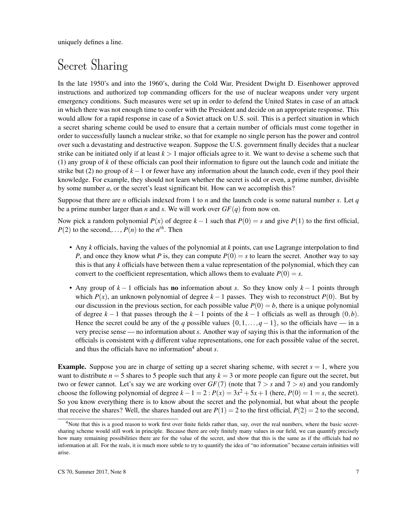uniquely defines a line.

### Secret Sharing

In the late 1950's and into the 1960's, during the Cold War, President Dwight D. Eisenhower approved instructions and authorized top commanding officers for the use of nuclear weapons under very urgent emergency conditions. Such measures were set up in order to defend the United States in case of an attack in which there was not enough time to confer with the President and decide on an appropriate response. This would allow for a rapid response in case of a Soviet attack on U.S. soil. This is a perfect situation in which a secret sharing scheme could be used to ensure that a certain number of officials must come together in order to successfully launch a nuclear strike, so that for example no single person has the power and control over such a devastating and destructive weapon. Suppose the U.S. government finally decides that a nuclear strike can be initiated only if at least  $k > 1$  major officials agree to it. We want to devise a scheme such that (1) any group of *k* of these officials can pool their information to figure out the launch code and initiate the strike but (2) no group of *k*−1 or fewer have any information about the launch code, even if they pool their knowledge. For example, they should not learn whether the secret is odd or even, a prime number, divisible by some number *a*, or the secret's least significant bit. How can we accomplish this?

Suppose that there are *n* officials indexed from 1 to *n* and the launch code is some natural number *s*. Let *q* be a prime number larger than *n* and *s*. We will work over  $GF(q)$  from now on.

Now pick a random polynomial  $P(x)$  of degree  $k-1$  such that  $P(0) = s$  and give  $P(1)$  to the first official,  $P(2)$  to the second,...,  $P(n)$  to the  $n^{th}$ . Then

- Any *k* officials, having the values of the polynomial at *k* points, can use Lagrange interpolation to find *P*, and once they know what *P* is, they can compute  $P(0) = s$  to learn the secret. Another way to say this is that any *k* officials have between them a value representation of the polynomial, which they can convert to the coefficient representation, which allows them to evaluate  $P(0) = s$ .
- Any group of *k* − 1 officials has no information about *s*. So they know only *k* − 1 points through which  $P(x)$ , an unknown polynomial of degree  $k-1$  passes. They wish to reconstruct  $P(0)$ . But by our discussion in the previous section, for each possible value  $P(0) = b$ , there is a unique polynomial of degree  $k-1$  that passes through the  $k-1$  points of the  $k-1$  officials as well as through  $(0,b)$ . Hence the secret could be any of the *q* possible values  $\{0,1,\ldots,q-1\}$ , so the officials have — in a very precise sense — no information about *s*. Another way of saying this is that the information of the officials is consistent with *q* different value representations, one for each possible value of the secret, and thus the officials have no information<sup>4</sup> about  $s$ .

**Example.** Suppose you are in charge of setting up a secret sharing scheme, with secret  $s = 1$ , where you want to distribute  $n = 5$  shares to 5 people such that any  $k = 3$  or more people can figure out the secret, but two or fewer cannot. Let's say we are working over  $GF(7)$  (note that  $7 > s$  and  $7 > n$ ) and you randomly choose the following polynomial of degree  $k - 1 = 2$ :  $P(x) = 3x^2 + 5x + 1$  (here,  $P(0) = 1 = s$ , the secret). So you know everything there is to know about the secret and the polynomial, but what about the people that receive the shares? Well, the shares handed out are  $P(1) = 2$  to the first official,  $P(2) = 2$  to the second,

<sup>&</sup>lt;sup>4</sup>Note that this is a good reason to work first over finite fields rather than, say, over the real numbers, where the basic secretsharing scheme would still work in principle. Because there are only finitely many values in our field, we can quantify precisely how many remaining possibilities there are for the value of the secret, and show that this is the same as if the officials had no information at all. For the reals, it is much more subtle to try to quantify the idea of "no information" because certain infinities will arise.